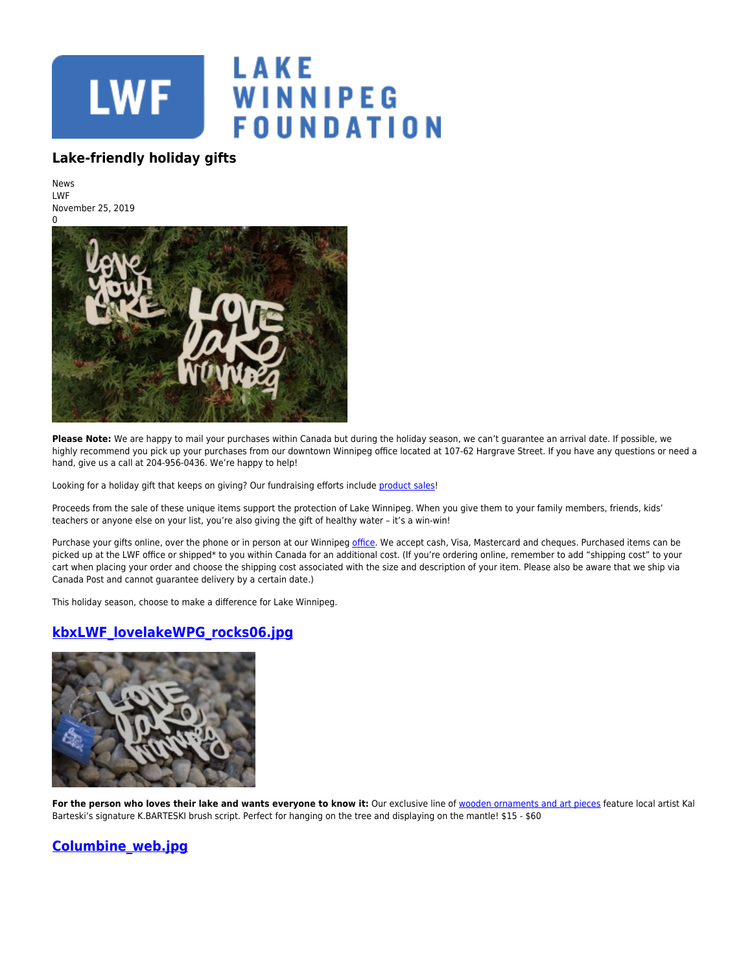

#### **Lake-friendly holiday gifts**

News LWF November 25, 2019



Please Note: We are happy to mail your purchases within Canada but during the holiday season, we can't guarantee an arrival date. If possible, we highly recommend you pick up your purchases from our downtown Winnipeg office located at 107-62 Hargrave Street. If you have any questions or need a hand, give us a call at 204-956-0436. We're happy to help!

Looking for a holiday gift that keeps on giving? Our fundraising efforts include [product sales](https://www.lakewinnipegfoundation.org/catalog)!

Proceeds from the sale of these unique items support the protection of Lake Winnipeg. When you give them to your family members, friends, kids' teachers or anyone else on your list, you're also giving the gift of healthy water – it's a win-win!

Purchase your gifts online, over the phone or in person at our Winnipeg [office](http://www.lakewinnipegfoundation.org/lwf-office). We accept cash, Visa, Mastercard and cheques. Purchased items can be picked up at the LWF office or shipped\* to you within Canada for an additional cost. (If you're ordering online, remember to add "shipping cost" to your cart when placing your order and choose the shipping cost associated with the size and description of your item. Please also be aware that we ship via Canada Post and cannot guarantee delivery by a certain date.)

This holiday season, choose to make a difference for Lake Winnipeg.

# **[kbxLWF\\_lovelakeWPG\\_rocks06.jpg](https://lakewinnipegfoundation.org/file/kbxlwflovelakewpgrocks06jpg)**



For the person who loves their lake and wants everyone to know it: Our exclusive line of [wooden ornaments and art pieces](https://www.lakewinnipegfoundation.org/news/kbarteski-x-lwf-exclusive-art-pieces-now-sale) feature local artist Kal Barteski's signature K.BARTESKI brush script. Perfect for hanging on the tree and displaying on the mantle! \$15 - \$60

# **[Columbine\\_web.jpg](https://lakewinnipegfoundation.org/file/columbinewebjpg)**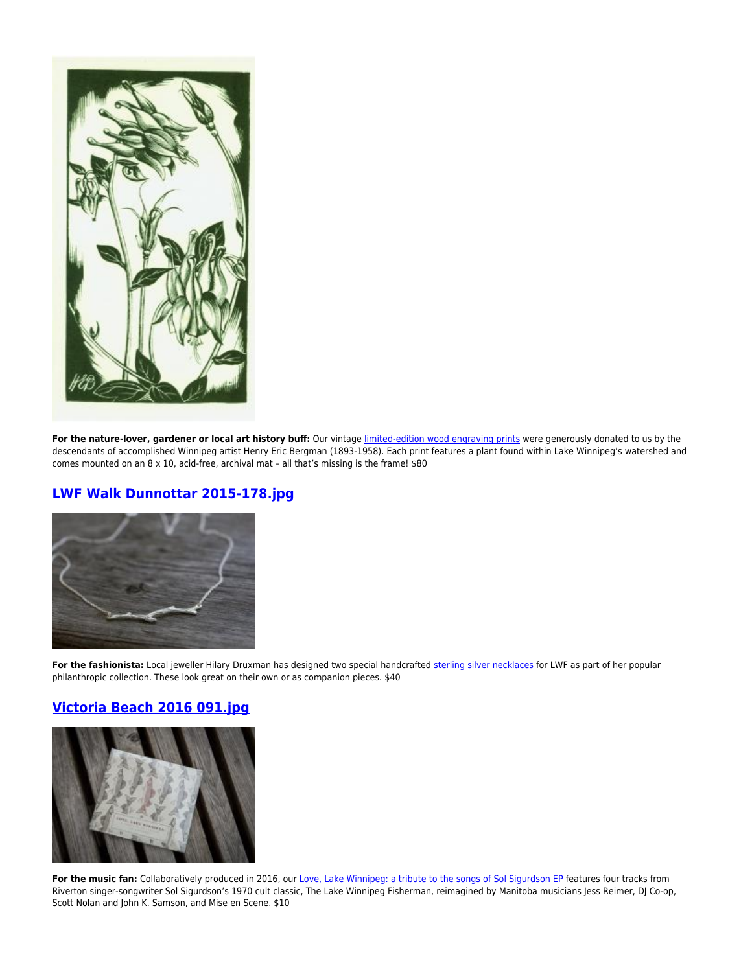

For the nature-lover, gardener or local art history buff: Our vintage [limited-edition wood engraving prints](http://www.lakewinnipegfoundation.org/catalog/products/lake-winnipeg-watershed-plant-prints) were generously donated to us by the descendants of accomplished Winnipeg artist Henry Eric Bergman (1893-1958). Each print features a plant found within Lake Winnipeg's watershed and comes mounted on an 8 x 10, acid-free, archival mat – all that's missing is the frame! \$80

# **[LWF Walk Dunnottar 2015-178.jpg](https://lakewinnipegfoundation.org/file/lwf-walk-dunnottar-2015-178jpg-0)**



For the fashionista: Local jeweller Hilary Druxman has designed two special handcrafted [sterling silver necklaces](https://www.hilarydruxman.com/?s=lake+winnipeg+foundation) for LWF as part of her popular philanthropic collection. These look great on their own or as companion pieces. \$40

# **[Victoria Beach 2016 091.jpg](https://lakewinnipegfoundation.org/file/victoria-beach-2016-091jpg)**



For the music fan: Collaboratively produced in 2016, our [Love, Lake Winnipeg: a tribute to the songs of Sol Sigurdson EP](https://www.lakewinnipegfoundation.org/catalog/products/love-lake-winnipeg-ep) features four tracks from Riverton singer-songwriter Sol Sigurdson's 1970 cult classic, The Lake Winnipeg Fisherman, reimagined by Manitoba musicians Jess Reimer, DJ Co-op, Scott Nolan and John K. Samson, and Mise en Scene. \$10